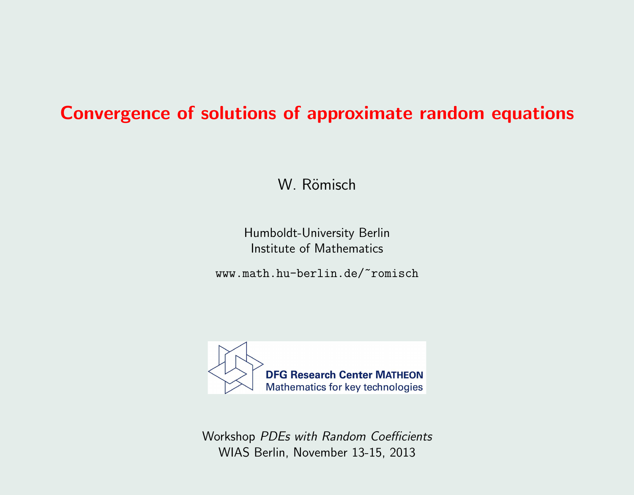### Convergence of solutions of approximate random equations

W. Römisch

Humboldt-University Berlin Institute of Mathematics

www.math.hu-berlin.de/~romisch



Workshop PDEs with Random Coefficients WIAS Berlin, November 13-15, 2013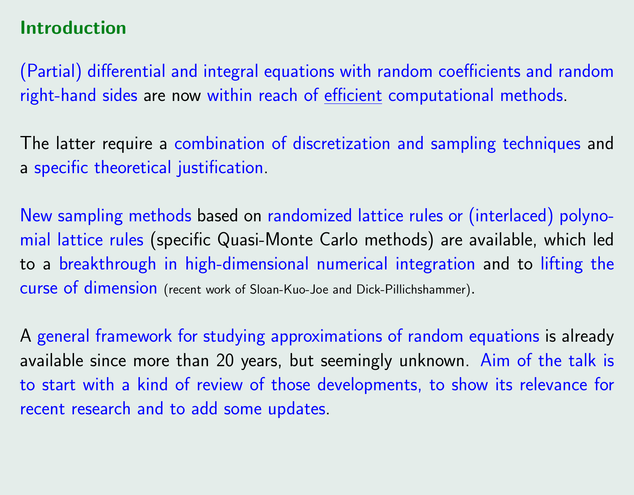# Introduction

(Partial) differential and integral equations with random coefficients and random right-hand sides are now within reach of efficient computational methods.

The latter require a combination of discretization and sampling techniques and a specific theoretical justification.

New sampling methods based on randomized lattice rules or (interlaced) polynomial lattice rules (specific Quasi-Monte Carlo methods) are available, which led to a breakthrough in high-dimensional numerical integration and to lifting the curse of dimension (recent work of Sloan-Kuo-Joe and Dick-Pillichshammer).

A general framework for studying approximations of random equations is already available since more than 20 years, but seemingly unknown. Aim of the talk is to start with a kind of review of those developments, to show its relevance for recent research and to add some updates.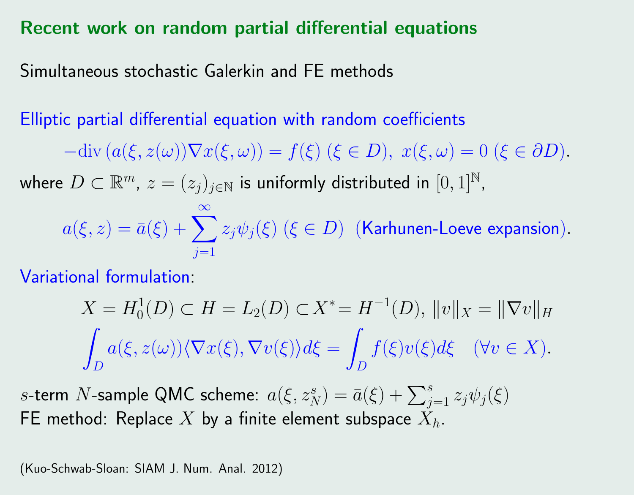#### Recent work on random partial differential equations

Simultaneous stochastic Galerkin and FE methods

Elliptic partial differential equation with random coefficients

 $-\text{div}\left(a(\xi, z(\omega))\nabla x(\xi, \omega)\right) = f(\xi) \ (\xi \in D), \ x(\xi, \omega) = 0 \ (\xi \in \partial D).$ 

where  $D \subset \mathbb{R}^m$ ,  $z = (z_j)_{j \in \mathbb{N}}$  is uniformly distributed in  $[0,1]^{\mathbb{N}}$ ,

 $a(\xi, z) = \bar{a}(\xi) + \sum z_j \psi_j(\xi)$   $(\xi \in D)$  (Karhunen-Loeve expansion). ∞  $j=1$ 

Variational formulation:

$$
X = H_0^1(D) \subset H = L_2(D) \subset X^* = H^{-1}(D), ||v||_X = ||\nabla v||_H
$$
  

$$
\int_D a(\xi, z(\omega)) \langle \nabla x(\xi), \nabla v(\xi) \rangle d\xi = \int_D f(\xi) v(\xi) d\xi \quad (\forall v \in X).
$$

s-term N-sample QMC scheme:  $a(\xi, z_N^s) = \bar{a}(\xi) + \sum_{j=1}^s z_j \psi_j(\xi)$ FE method: Replace X by a finite element subspace  $X_h$ .

(Kuo-Schwab-Sloan: SIAM J. Num. Anal. 2012)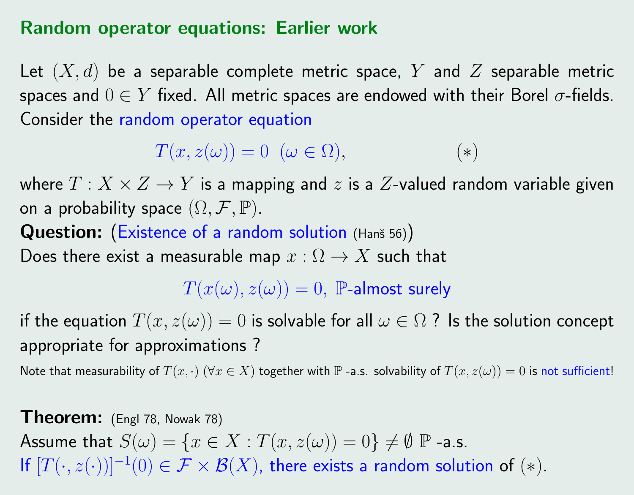#### Random operator equations: Earlier work

Let  $(X, d)$  be a separable complete metric space, Y and Z separable metric spaces and  $0 \in Y$  fixed. All metric spaces are endowed with their Borel  $\sigma$ -fields. Consider the random operator equation

$$
T(x, z(\omega)) = 0 \ (\omega \in \Omega), \tag{*}
$$

where  $T: X \times Z \rightarrow Y$  is a mapping and z is a Z-valued random variable given on a probability space  $(\Omega, \mathcal{F}, \mathbb{P})$ .

Question: (Existence of a random solution (Hanš 56)) Does there exist a measurable map  $x : \Omega \to X$  such that

 $T(x(\omega), z(\omega)) = 0$ , P-almost surely

if the equation  $T(x, z(\omega)) = 0$  is solvable for all  $\omega \in \Omega$  ? Is the solution concept appropriate for approximations ?

Note that measurability of  $T(x, \cdot)$   $(\forall x \in X)$  together with  $\mathbb P$  -a.s. solvability of  $T(x, z(\omega)) = 0$  is not sufficient!

Theorem: (Engl 78, Nowak 78) Assume that  $S(\omega) = \{x \in X : T(x, z(\omega)) = 0\} \neq \emptyset$  P -a.s. If  $[T(\cdot, z(\cdot))]^{-1}(0) \in \mathcal{F} \times \mathcal{B}(X)$ , there exists a random solution of  $(*)$ .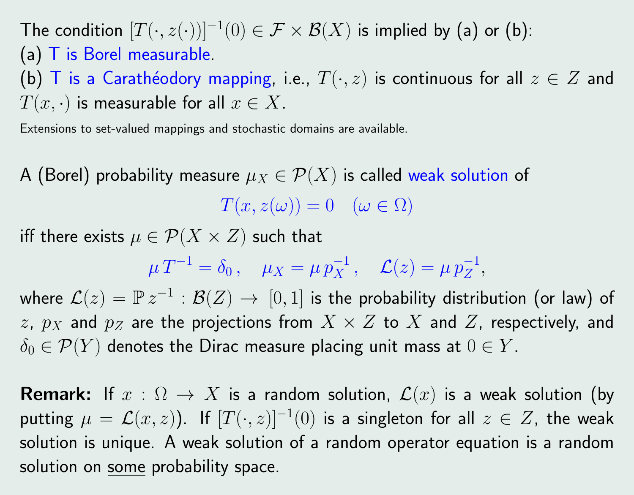The condition  $[T(\cdot,z(\cdot))]^{-1}(0) \in \mathcal{F} \times \mathcal{B}(X)$  is implied by (a) or (b): (a) T is Borel measurable. (b) T is a Carathéodory mapping, i.e.,  $T(\cdot, z)$  is continuous for all  $z \in Z$  and  $T(x, \cdot)$  is measurable for all  $x \in X$ .

Extensions to set-valued mappings and stochastic domains are available.

A (Borel) probability measure  $\mu_X \in \mathcal{P}(X)$  is called weak solution of  $T(x, z(\omega)) = 0 \quad (\omega \in \Omega)$ 

iff there exists  $\mu \in \mathcal{P}(X \times Z)$  such that

$$
\mu T^{-1} = \delta_0, \quad \mu_X = \mu p_X^{-1}, \quad \mathcal{L}(z) = \mu p_Z^{-1},
$$

where  $\mathcal{L}(z)=\mathbb{P}\, z^{-1}:\mathcal{B}(Z)\,\to\,[0,1]$  is the probability distribution (or law) of z,  $p_X$  and  $p_Z$  are the projections from  $X \times Z$  to  $X$  and  $Z$ , respectively, and  $\delta_0 \in \mathcal{P}(Y)$  denotes the Dirac measure placing unit mass at  $0 \in Y$ .

**Remark:** If  $x : \Omega \to X$  is a random solution,  $\mathcal{L}(x)$  is a weak solution (by putting  $\mu\,=\,{\mathcal L}(x,z)).$  If  $[T(\cdot,z)]^{-1}(0)$  is a singleton for all  $z\,\in\,Z,$  the weak solution is unique. A weak solution of a random operator equation is a random solution on some probability space.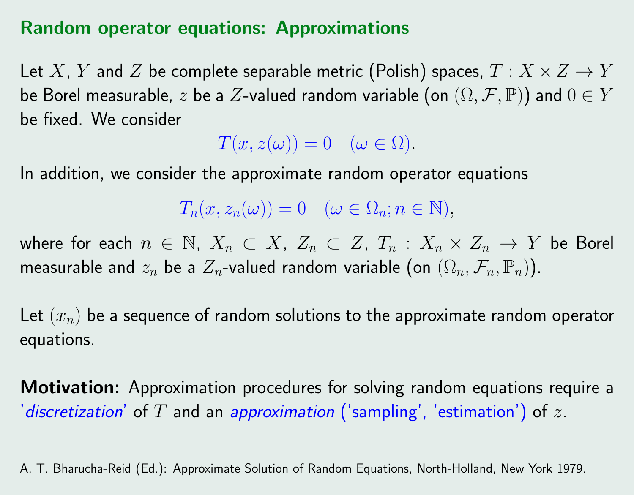### Random operator equations: Approximations

Let X, Y and Z be complete separable metric (Polish) spaces,  $T: X \times Z \rightarrow Y$ be Borel measurable, z be a Z-valued random variable (on  $(\Omega, \mathcal{F}, \mathbb{P})$ ) and  $0 \in Y$ be fixed. We consider

 $T(x, z(\omega)) = 0 \quad (\omega \in \Omega).$ 

In addition, we consider the approximate random operator equations

 $T_n(x, z_n(\omega)) = 0 \quad (\omega \in \Omega_n; n \in \mathbb{N}),$ 

where for each  $n \in \mathbb{N}$ ,  $X_n \subset X$ ,  $Z_n \subset Z$ ,  $T_n : X_n \times Z_n \to Y$  be Borel measurable and  $z_n$  be a  $Z_n$ -valued random variable (on  $(\Omega_n, \mathcal{F}_n, \mathbb{P}_n)$ ).

Let  $(x_n)$  be a sequence of random solutions to the approximate random operator equations.

**Motivation:** Approximation procedures for solving random equations require a 'discretization' of T and an approximation ('sampling', 'estimation') of z.

A. T. Bharucha-Reid (Ed.): Approximate Solution of Random Equations, North-Holland, New York 1979.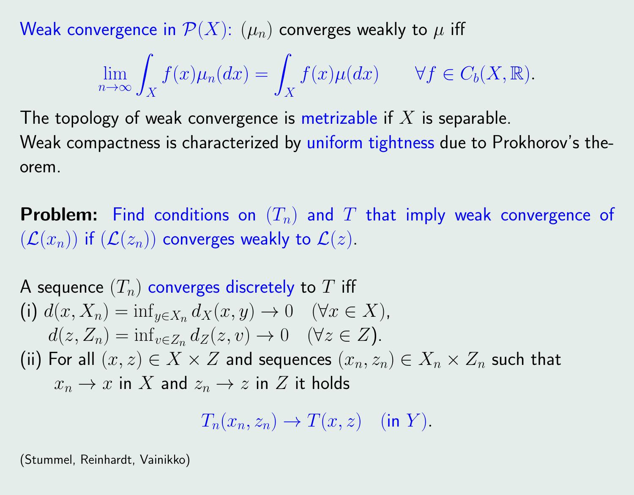Weak convergence in  $\mathcal{P}(X)$ :  $(\mu_n)$  converges weakly to  $\mu$  iff

$$
\lim_{n \to \infty} \int_X f(x) \mu_n(dx) = \int_X f(x) \mu(dx) \qquad \forall f \in C_b(X, \mathbb{R}).
$$

The topology of weak convergence is metrizable if  $X$  is separable. Weak compactness is characterized by uniform tightness due to Prokhorov's theorem.

**Problem:** Find conditions on  $(T_n)$  and T that imply weak convergence of  $(\mathcal{L}(x_n))$  if  $(\mathcal{L}(z_n))$  converges weakly to  $\mathcal{L}(z)$ .

A sequence 
$$
(T_n)
$$
 converges discretely to  $T$  iff  
\n(i)  $d(x, X_n) = \inf_{y \in X_n} d_X(x, y) \to 0 \quad (\forall x \in X)$ ,  
\n $d(z, Z_n) = \inf_{v \in Z_n} d_Z(z, v) \to 0 \quad (\forall z \in Z)$ .  
\n(ii) For all  $(x, z) \in X \times Z$  and sequences  $(x_n, z_n) \in X_n \times Z_n$  such that  
\n $x_n \to x$  in  $X$  and  $z_n \to z$  in  $Z$  it holds

$$
T_n(x_n, z_n) \to T(x, z) \quad (\text{in } Y).
$$

(Stummel, Reinhardt, Vainikko)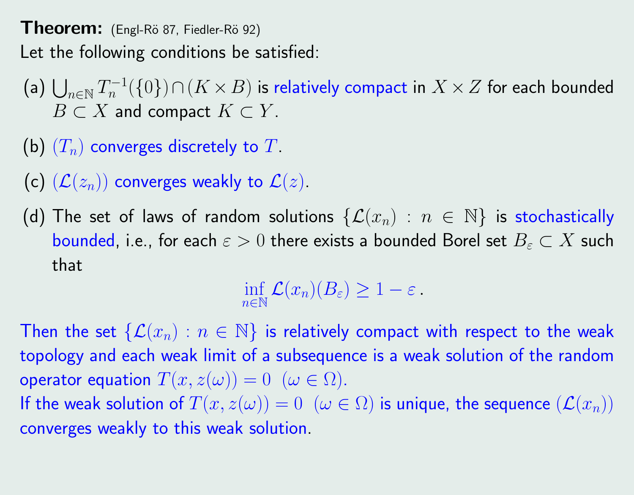**Theorem:** (Engl-Rö 87, Fiedler-Rö 92) Let the following conditions be satisfied:

- (a)  $\bigcup_{n\in\mathbb{N}}T_n^{-1}$  $\mathcal{C}_n^{-1}(\{0\})\cap (K\times B)$  is relatively compact in  $X\times Z$  for each bounded  $B \subset X$  and compact  $K \subset Y$ .
- (b)  $(T_n)$  converges discretely to T.
- (c)  $(\mathcal{L}(z_n))$  converges weakly to  $\mathcal{L}(z)$ .
- (d) The set of laws of random solutions  $\{\mathcal{L}(x_n) : n \in \mathbb{N}\}\$  is stochastically bounded, i.e., for each  $\varepsilon > 0$  there exists a bounded Borel set  $B_{\varepsilon} \subset X$  such that

inf  $n\in\mathbb{N}$  $\mathcal{L}(x_n)(B_\varepsilon)\geq 1-\varepsilon$  .

Then the set  $\{\mathcal{L}(x_n): n \in \mathbb{N}\}\$  is relatively compact with respect to the weak topology and each weak limit of a subsequence is a weak solution of the random operator equation  $T(x, z(\omega)) = 0 \ (\omega \in \Omega)$ . If the weak solution of  $T(x, z(\omega)) = 0 \ (\omega \in \Omega)$  is unique, the sequence  $(\mathcal{L}(x_n))$ converges weakly to this weak solution.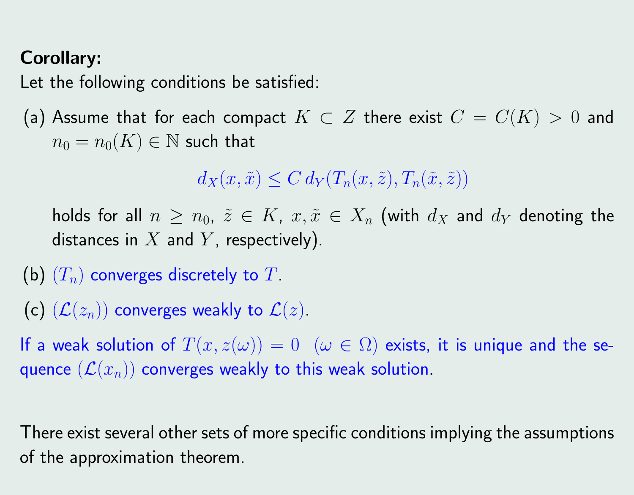# Corollary:

Let the following conditions be satisfied:

(a) Assume that for each compact  $K\subset Z$  there exist  $C=C(K)>0$  and  $n_0 = n_0(K) \in \mathbb{N}$  such that

 $d_X(x, \tilde{x}) \leq C d_Y(T_n(x, \tilde{z}), T_n(\tilde{x}, \tilde{z}))$ 

holds for all  $n \geq n_0$ ,  $\tilde{z} \in K$ ,  $x, \tilde{x} \in X_n$  (with  $d_X$  and  $d_Y$  denoting the distances in  $X$  and  $Y$ , respectively).

- (b)  $(T_n)$  converges discretely to T.
- (c)  $(\mathcal{L}(z_n))$  converges weakly to  $\mathcal{L}(z)$ .

If a weak solution of  $T(x, z(\omega)) = 0$   $(\omega \in \Omega)$  exists, it is unique and the sequence  $(\mathcal{L}(x_n))$  converges weakly to this weak solution.

There exist several other sets of more specific conditions implying the assumptions of the approximation theorem.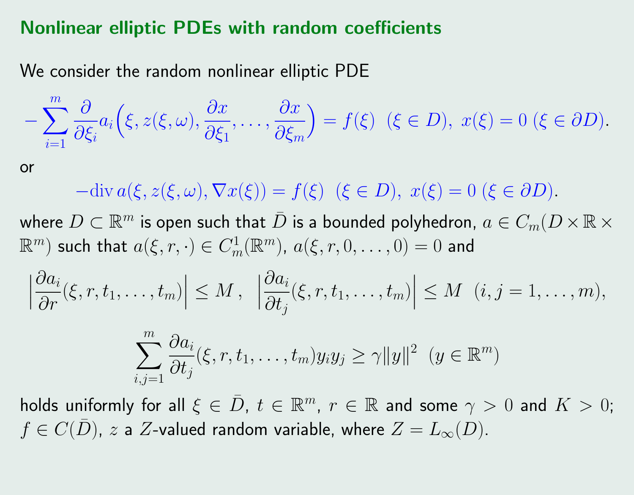#### Nonlinear elliptic PDEs with random coefficients

We consider the random nonlinear elliptic PDE

$$
-\sum_{i=1}^m\frac{\partial}{\partial\xi_i}a_i\Big(\xi,z(\xi,\omega),\frac{\partial x}{\partial\xi_1},\ldots,\frac{\partial x}{\partial\xi_m}\Big)=f(\xi)\ \ (\xi\in D),\ x(\xi)=0\ (\xi\in\partial D).
$$

or

 $-\text{div}\,a(\xi, z(\xi, \omega), \nabla x(\xi)) = f(\xi)$   $(\xi \in D), x(\xi) = 0$   $(\xi \in \partial D).$ 

where  $D\subset \mathbb{R}^m$  is open such that  $\bar D$  is a bounded polyhedron,  $a\in C_m(D\times\mathbb{R}\times\mathbb{R}^m)$  $\mathbb{R}^m$ ) such that  $a(\xi,r,\cdot)\in C^1_m(\mathbb{R}^m)$ ,  $a(\xi,r,0,\ldots,0)=0$  and

$$
\left|\frac{\partial a_i}{\partial r}(\xi, r, t_1,\ldots, t_m)\right| \leq M, \left|\frac{\partial a_i}{\partial t_j}(\xi, r, t_1,\ldots, t_m)\right| \leq M \ (i, j = 1,\ldots, m),
$$

$$
\sum_{i,j=1}^m \frac{\partial a_i}{\partial t_j}(\xi, r, t_1, \dots, t_m) y_i y_j \geq \gamma ||y||^2 \ (y \in \mathbb{R}^m)
$$

holds uniformly for all  $\xi \in \bar D, \ t \in \mathbb{R}^m, \ r \in \mathbb{R}$  and some  $\gamma > 0$  and  $K > 0;$  $f \in C(D)$ , z a Z-valued random variable, where  $Z = L_{\infty}(D)$ .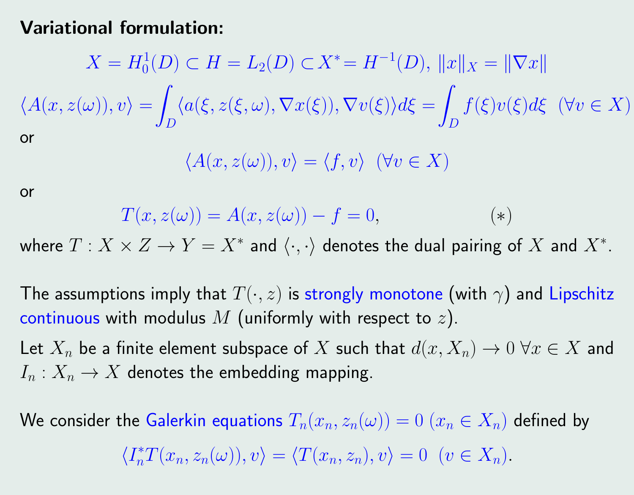#### Variational formulation:

$$
X = H_0^1(D) \subset H = L_2(D) \subset X^* = H^{-1}(D), ||x||_X = ||\nabla x||
$$
  

$$
\langle A(x, z(\omega)), v \rangle = \int_D \langle a(\xi, z(\xi, \omega), \nabla x(\xi)), \nabla v(\xi) \rangle d\xi = \int_D f(\xi) v(\xi) d\xi \quad (\forall v \in X)
$$
  
or

$$
\langle A(x, z(\omega)), v \rangle = \langle f, v \rangle \quad (\forall v \in X)
$$

or

$$
T(x, z(\omega)) = A(x, z(\omega)) - f = 0,
$$
 (\*)

where  $T: X \times Z \to Y = X^*$  and  $\langle \cdot, \cdot \rangle$  denotes the dual pairing of  $X$  and  $X^*.$ 

The assumptions imply that  $T(\cdot, z)$  is strongly monotone (with  $\gamma$ ) and Lipschitz continuous with modulus  $M$  (uniformly with respect to  $z$ ).

Let  $X_n$  be a finite element subspace of X such that  $d(x, X_n) \to 0 \,\forall x \in X$  and  $I_n: X_n \to X$  denotes the embedding mapping.

We consider the Galerkin equations  $T_n(x_n, z_n(\omega)) = 0$   $(x_n \in X_n)$  defined by  $\langle I_n^* T(x_n, z_n(\omega)), v \rangle = \langle T(x_n, z_n), v \rangle = 0 \quad (v \in X_n).$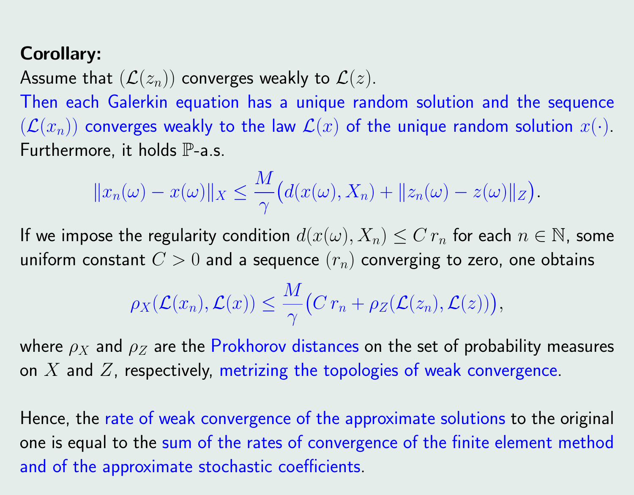# Corollary:

Assume that  $(\mathcal{L}(z_n))$  converges weakly to  $\mathcal{L}(z)$ .

Then each Galerkin equation has a unique random solution and the sequence  $(\mathcal{L}(x_n))$  converges weakly to the law  $\mathcal{L}(x)$  of the unique random solution  $x(\cdot)$ . Furthermore, it holds  $\mathbb{P}$ -a.s.

$$
||x_n(\omega) - x(\omega)||_X \le \frac{M}{\gamma} (d(x(\omega), X_n) + ||z_n(\omega) - z(\omega)||_Z).
$$

If we impose the regularity condition  $d(x(\omega), X_n) \leq C r_n$  for each  $n \in \mathbb{N}$ , some uniform constant  $C > 0$  and a sequence  $(r_n)$  converging to zero, one obtains

$$
\rho_X(\mathcal{L}(x_n), \mathcal{L}(x)) \leq \frac{M}{\gamma} \big( C r_n + \rho_Z(\mathcal{L}(z_n), \mathcal{L}(z)) \big),
$$

where  $\rho_X$  and  $\rho_Z$  are the Prokhorov distances on the set of probability measures on  $X$  and  $Z$ , respectively, metrizing the topologies of weak convergence.

Hence, the rate of weak convergence of the approximate solutions to the original one is equal to the sum of the rates of convergence of the finite element method and of the approximate stochastic coefficients.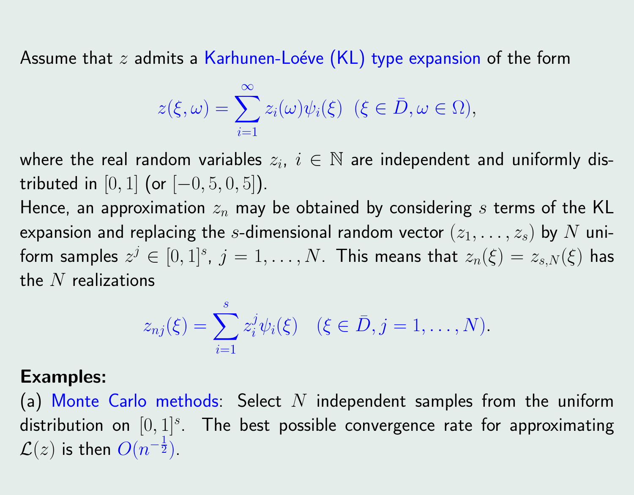Assume that  $z$  admits a Karhunen-Loéve (KL) type expansion of the form

$$
z(\xi,\omega)=\sum_{i=1}^{\infty}z_i(\omega)\psi_i(\xi)\ \ (\xi\in\bar{D},\omega\in\Omega),
$$

where the real random variables  $z_i, \ i \in \mathbb{N}$  are independent and uniformly distributed in  $[0, 1]$  (or  $[-0, 5, 0, 5]$ ).

Hence, an approximation  $z_n$  may be obtained by considering s terms of the KL expansion and replacing the s-dimensional random vector  $(z_1, \ldots, z_s)$  by  $N$  uniform samples  $z^j \in [0,1]^s$ ,  $j=1,\ldots,N.$  This means that  $z_n(\xi) = z_{s,N}(\xi)$  has the  $N$  realizations

$$
z_{nj}(\xi) = \sum_{i=1}^s z_i^j \psi_i(\xi) \quad (\xi \in \bar{D}, j = 1, ..., N).
$$

#### Examples:

(a) Monte Carlo methods: Select N independent samples from the uniform distribution on  $[0,1]^s$ . The best possible convergence rate for approximating  $\mathcal{L}(z)$  is then  $O(n^{-\frac{1}{2}})$ .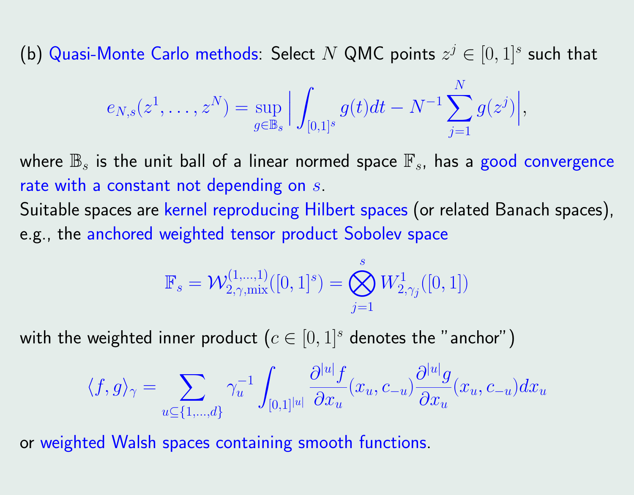(b) Quasi-Monte Carlo methods: Select  $N$  QMC points  $z^j \in [0,1]^s$  such that

$$
e_{N,s}(z^1,\ldots,z^N) = \sup_{g \in \mathbb{B}_s} \Big| \int_{[0,1]^s} g(t)dt - N^{-1} \sum_{j=1}^N g(z^j) \Big|,
$$

where  $\mathbb{B}_s$  is the unit ball of a linear normed space  $\mathbb{F}_s$ , has a good convergence rate with a constant not depending on  $s$ .

Suitable spaces are kernel reproducing Hilbert spaces (or related Banach spaces), e.g., the anchored weighted tensor product Sobolev space

$$
\mathbb{F}_{s} = \mathcal{W}^{(1,\dots,1)}_{2,\gamma,\text{mix}}([0,1]^{s}) = \bigotimes_{j=1}^{s} W^{1}_{2,\gamma_{j}}([0,1])
$$

with the weighted inner product  $(c\in [0,1]^s$  denotes the "anchor")

$$
\langle f, g \rangle_{\gamma} = \sum_{u \subseteq \{1, \dots, d\}} \gamma_u^{-1} \int_{[0,1]^{|u|}} \frac{\partial^{|u|} f}{\partial x_u}(x_u, c_{-u}) \frac{\partial^{|u|} g}{\partial x_u}(x_u, c_{-u}) dx_u
$$

or weighted Walsh spaces containing smooth functions.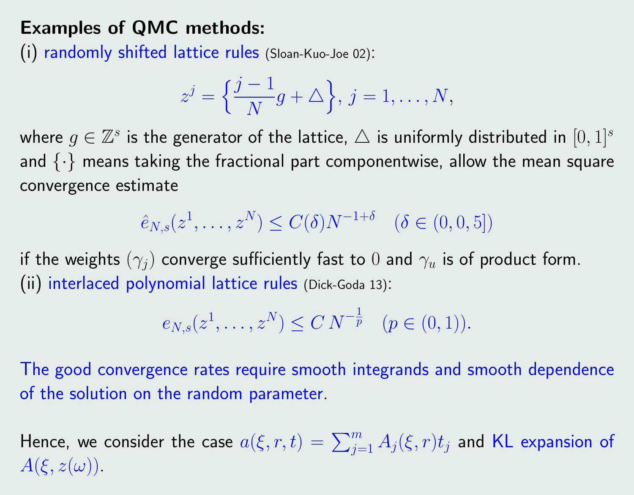# Examples of QMC methods:

(i) randomly shifted lattice rules (Sloan-Kuo-Joe 02):

$$
z^{j} = \left\{\frac{j-1}{N}g + \triangle\right\}, j = 1, \dots, N,
$$

where  $g\in\mathbb{Z}^s$  is the generator of the lattice,  $\triangle$  is uniformly distributed in  $[0,1]^s$ and  $\{\cdot\}$  means taking the fractional part componentwise, allow the mean square convergence estimate

 $\hat{e}_{N,s}(z^1,\ldots,z^N) \leq C(\delta) N^{-1+\delta} \quad (\delta \in (0,0,5])$ 

if the weights  $(\gamma_i)$  converge sufficiently fast to 0 and  $\gamma_u$  is of product form. (ii) interlaced polynomial lattice rules (Dick-Goda 13):

$$
e_{N,s}(z^1,\ldots,z^N) \le C N^{-\frac{1}{p}}
$$
  $(p \in (0,1)).$ 

The good convergence rates require smooth integrands and smooth dependence of the solution on the random parameter.

Hence, we consider the case  $a(\xi,r,t)=\sum_{j=1}^m A_j(\xi,r)t_j$  and KL expansion of  $A(\xi, z(\omega))$ .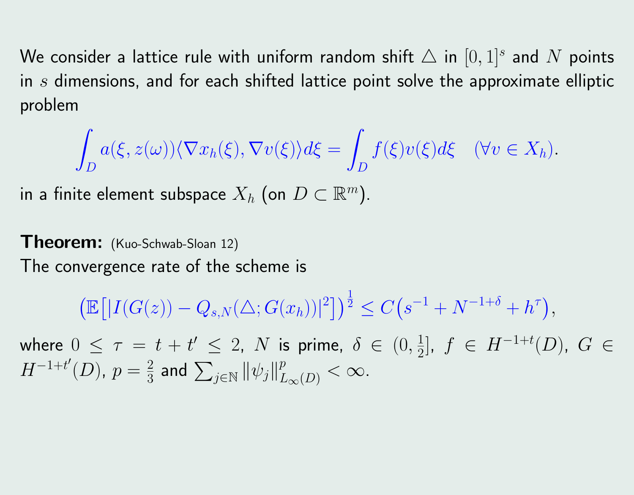We consider a lattice rule with uniform random shift  $\triangle$  in  $[0,1]^s$  and  $N$  points in  $s$  dimensions, and for each shifted lattice point solve the approximate elliptic problem

$$
\int_D a(\xi, z(\omega)) \langle \nabla x_h(\xi), \nabla v(\xi) \rangle d\xi = \int_D f(\xi) v(\xi) d\xi \quad (\forall v \in X_h).
$$

in a finite element subspace  $X_h$  (on  $D\subset \mathbb{R}^m)$ .

Theorem: (Kuo-Schwab-Sloan 12) The convergence rate of the scheme is

$$
\left(\mathbb{E}\left[|I(G(z))-Q_{s,N}(\triangle;G(x_h))|^2\right]\right)^{\frac{1}{2}} \leq C\left(s^{-1}+N^{-1+\delta}+h^{\tau}\right),
$$

where  $0 \leq \tau = t + t' \leq 2$ , N is prime,  $\delta \in (0, \frac{1}{2})$  $\frac{1}{2}$ ,  $f \in H^{-1+t}(D)$ ,  $G \in$  $H^{-1+t'}(D)$ ,  $p=\frac{2}{3}$  $\frac{2}{3}$  and  $\sum_{j\in\mathbb{N}}\|\psi_j\|_{L_\infty(D)}^p<\infty$ .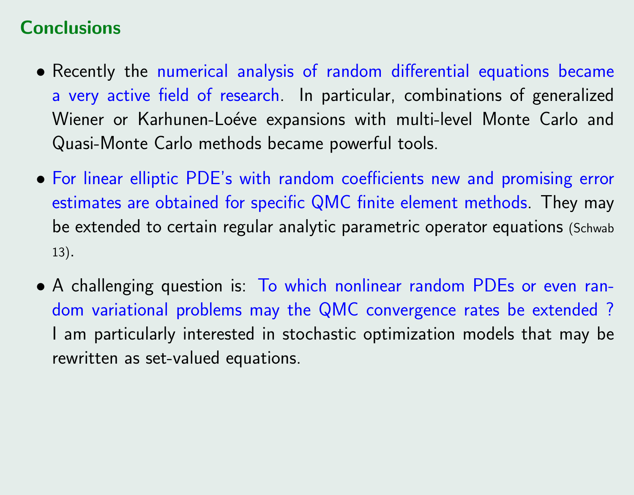# **Conclusions**

- Recently the numerical analysis of random differential equations became a very active field of research. In particular, combinations of generalized Wiener or Karhunen-Loéve expansions with multi-level Monte Carlo and Quasi-Monte Carlo methods became powerful tools.
- For linear elliptic PDE's with random coefficients new and promising error estimates are obtained for specific QMC finite element methods. They may be extended to certain regular analytic parametric operator equations (Schwab 13).
- A challenging question is: To which nonlinear random PDEs or even random variational problems may the QMC convergence rates be extended ? I am particularly interested in stochastic optimization models that may be rewritten as set-valued equations.